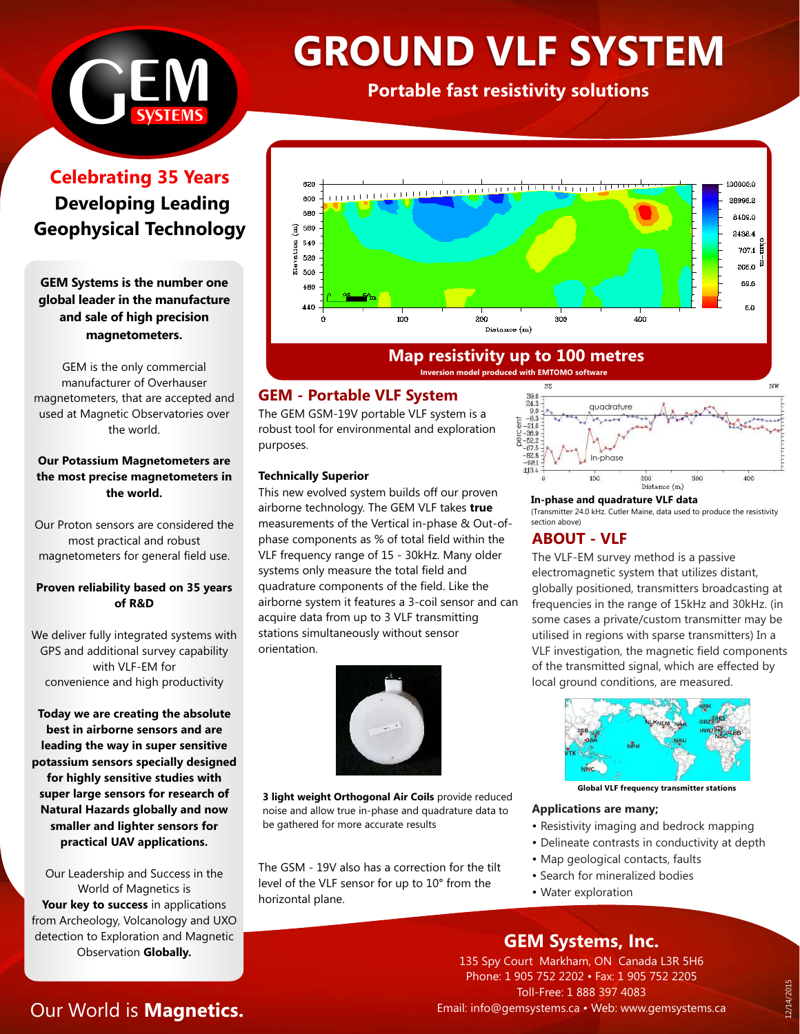

# **GROUND VLF SYSTEM**

**Portable fast resistivity solutions**

# **Celebrating 35 Years Developing Leading Geophysical Technology**

**GEM Systems is the number one global leader in the manufacture and sale of high precision magnetometers.**

GEM is the only commercial manufacturer of Overhauser magnetometers, that are accepted and used at Magnetic Observatories over the world.

#### **Our Potassium Magnetometers are the most precise magnetometers in the world.**

Our Proton sensors are considered the most practical and robust magnetometers for general field use.

### **Proven reliability based on 35 years of R&D**

We deliver fully integrated systems with GPS and additional survey capability with VLF-EM for convenience and high productivity

**Today we are creating the absolute best in airborne sensors and are leading the way in super sensitive potassium sensors specially designed for highly sensitive studies with super large sensors for research of Natural Hazards globally and now smaller and lighter sensors for practical UAV applications.**

Our Leadership and Success in the World of Magnetics is Your key to success in applications from Archeology, Volcanology and UXO detection to Exploration and Magnetic Observation **Globally.**

# Our World is **Magnetics.**



# **Map resistivity up to 100 metres**

**Inversion model produced with EMTOMO software**

# **GEM - Portable VLF System**

The GEM GSM-19V portable VLF system is a robust tool for environmental and exploration purposes.

#### **Technically Superior**

This new evolved system builds off our proven airborne technology. The GEM VLF takes **true** measurements of the Vertical in-phase & Out-ofphase components as % of total field within the VLF frequency range of 15 - 30kHz. Many older systems only measure the total field and quadrature components of the field. Like the airborne system it features a 3-coil sensor and can acquire data from up to 3 VLF transmitting stations simultaneously without sensor orientation.



**3 light weight Orthogonal Air Coils** provide reduced noise and allow true in-phase and quadrature data to be gathered for more accurate results

The GSM - 19V also has a correction for the tilt level of the VLF sensor for up to 10° from the horizontal plane.

#### $\frac{39.6}{24.3}$ quadrature  $9.0$  $-6.3$  $-21.6$ <br> $-36.9$ <br> $-52.2$ <br> $-67.5$ In-phase  $-62.5$ 100 300 400 Distance (m)

**In-phase and quadrature VLF data**  (Transmitter 24.0 kHz. Cutler Maine, data used to produce the resistivity section above)

# **ABOUT - VLF**

The VLF-EM survey method is a passive electromagnetic system that utilizes distant, globally positioned, transmitters broadcasting at frequencies in the range of 15kHz and 30kHz. (in some cases a private/custom transmitter may be utilised in regions with sparse transmitters) In a VLF investigation, the magnetic field components of the transmitted signal, which are effected by local ground conditions, are measured.



**Global VLF frequency transmitter stations**

#### **Applications are many;**

- Resistivity imaging and bedrock mapping
- Delineate contrasts in conductivity at depth
- Map geological contacts, faults
	- Search for mineralized bodies
	- Water exploration

# **GEM Systems, Inc.**

135 Spy Court Markham, ON Canada L3R 5H6 Phone: 1 905 752 2202 • Fax: 1 905 752 2205 Toll-Free: 1 888 397 4083 Email: info@gemsystems.ca • Web: www.gemsystems.ca